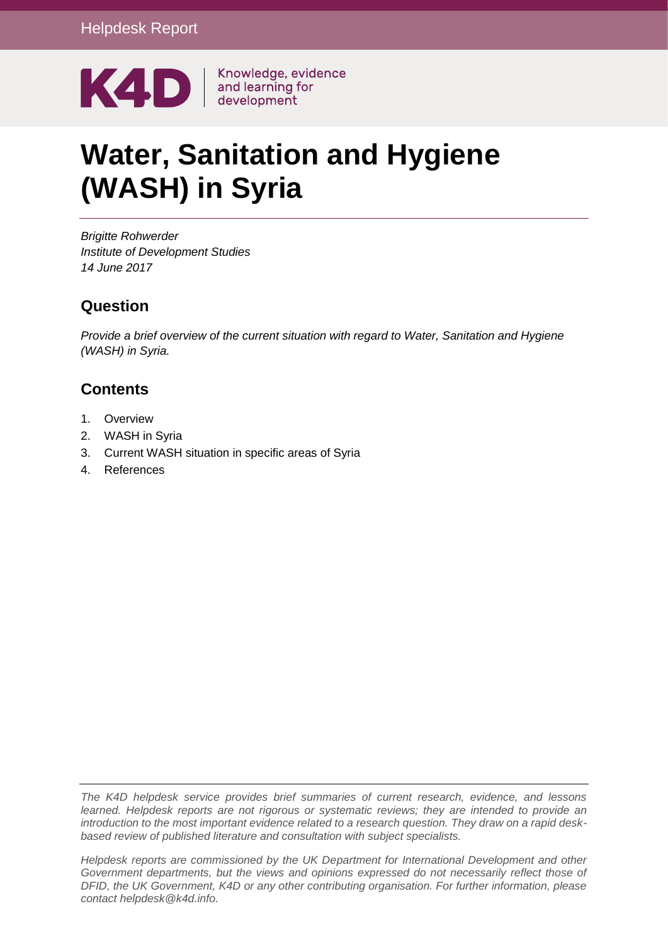

# **Water, Sanitation and Hygiene (WASH) in Syria**

*Brigitte Rohwerder Institute of Development Studies 14 June 2017*

# **Question**

*Provide a brief overview of the current situation with regard to Water, Sanitation and Hygiene (WASH) in Syria.*

# **Contents**

- 1. [Overview](#page-1-0)
- 2. [WASH in Syria](#page-2-0)
- 3. [Current WASH situation in specific areas of Syria](#page-6-0)
- 4. [References](#page-11-0)

*The K4D helpdesk service provides brief summaries of current research, evidence, and lessons learned. Helpdesk reports are not rigorous or systematic reviews; they are intended to provide an introduction to the most important evidence related to a research question. They draw on a rapid deskbased review of published literature and consultation with subject specialists.* 

*Helpdesk reports are commissioned by the UK Department for International Development and other Government departments, but the views and opinions expressed do not necessarily reflect those of DFID, the UK Government, K4D or any other contributing organisation. For further information, please contact helpdesk@k4d.info.*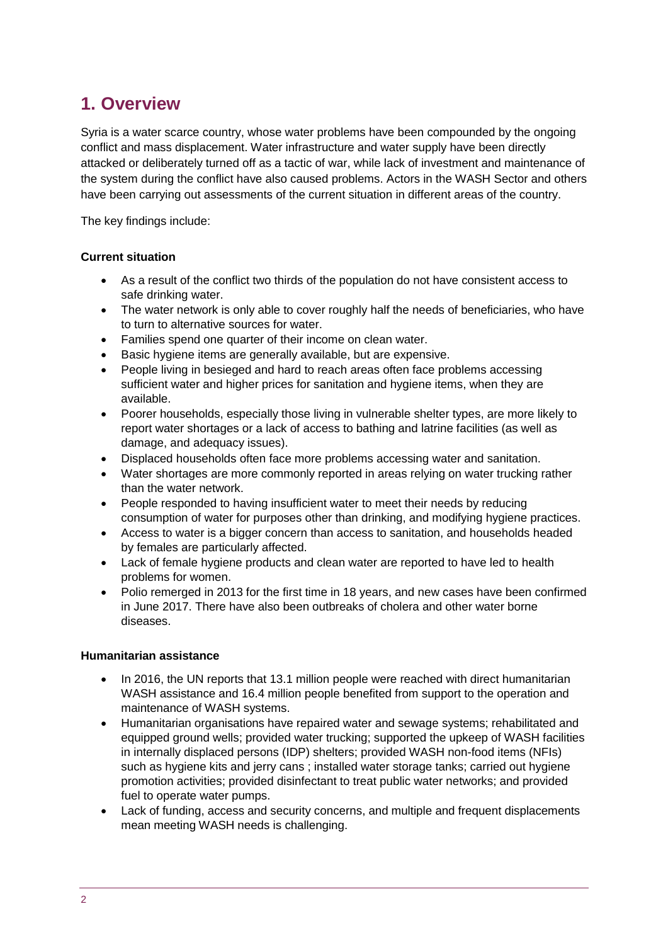# <span id="page-1-0"></span>**1. Overview**

Syria is a water scarce country, whose water problems have been compounded by the ongoing conflict and mass displacement. Water infrastructure and water supply have been directly attacked or deliberately turned off as a tactic of war, while lack of investment and maintenance of the system during the conflict have also caused problems. Actors in the WASH Sector and others have been carrying out assessments of the current situation in different areas of the country.

The key findings include:

#### **Current situation**

- As a result of the conflict two thirds of the population do not have consistent access to safe drinking water.
- The water network is only able to cover roughly half the needs of beneficiaries, who have to turn to alternative sources for water.
- Families spend one quarter of their income on clean water.
- Basic hygiene items are generally available, but are expensive.
- People living in besieged and hard to reach areas often face problems accessing sufficient water and higher prices for sanitation and hygiene items, when they are available.
- Poorer households, especially those living in vulnerable shelter types, are more likely to report water shortages or a lack of access to bathing and latrine facilities (as well as damage, and adequacy issues).
- Displaced households often face more problems accessing water and sanitation.
- Water shortages are more commonly reported in areas relying on water trucking rather than the water network.
- People responded to having insufficient water to meet their needs by reducing consumption of water for purposes other than drinking, and modifying hygiene practices.
- Access to water is a bigger concern than access to sanitation, and households headed by females are particularly affected.
- Lack of female hygiene products and clean water are reported to have led to health problems for women.
- Polio remerged in 2013 for the first time in 18 years, and new cases have been confirmed in June 2017. There have also been outbreaks of cholera and other water borne diseases.

#### **Humanitarian assistance**

- In 2016, the UN reports that 13.1 million people were reached with direct humanitarian WASH assistance and 16.4 million people benefited from support to the operation and maintenance of WASH systems.
- Humanitarian organisations have repaired water and sewage systems; rehabilitated and equipped ground wells; provided water trucking; supported the upkeep of WASH facilities in internally displaced persons (IDP) shelters; provided WASH non-food items (NFIs) such as hygiene kits and jerry cans ; installed water storage tanks; carried out hygiene promotion activities; provided disinfectant to treat public water networks; and provided fuel to operate water pumps.
- Lack of funding, access and security concerns, and multiple and frequent displacements mean meeting WASH needs is challenging.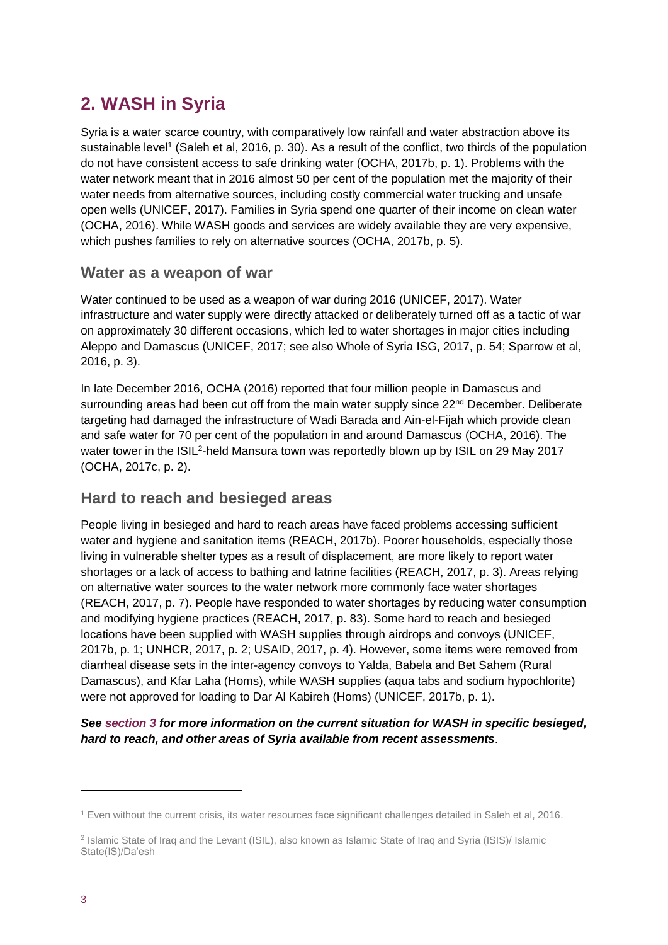# <span id="page-2-0"></span>**2. WASH in Syria**

Syria is a water scarce country, with comparatively low rainfall and water abstraction above its sustainable level<sup>1</sup> (Saleh et al, 2016, p. 30). As a result of the conflict, two thirds of the population do not have consistent access to safe drinking water (OCHA, 2017b, p. 1). Problems with the water network meant that in 2016 almost 50 per cent of the population met the majority of their water needs from alternative sources, including costly commercial water trucking and unsafe open wells (UNICEF, 2017). Families in Syria spend one quarter of their income on clean water (OCHA, 2016). While WASH goods and services are widely available they are very expensive, which pushes families to rely on alternative sources (OCHA, 2017b, p. 5).

### **Water as a weapon of war**

Water continued to be used as a weapon of war during 2016 (UNICEF, 2017). Water infrastructure and water supply were directly attacked or deliberately turned off as a tactic of war on approximately 30 different occasions, which led to water shortages in major cities including Aleppo and Damascus (UNICEF, 2017; see also Whole of Syria ISG, 2017, p. 54; Sparrow et al, 2016, p. 3).

In late December 2016, OCHA (2016) reported that four million people in Damascus and surrounding areas had been cut off from the main water supply since 22<sup>nd</sup> December. Deliberate targeting had damaged the infrastructure of Wadi Barada and Ain-el-Fijah which provide clean and safe water for 70 per cent of the population in and around Damascus (OCHA, 2016). The water tower in the ISIL<sup>2</sup>-held Mansura town was reportedly blown up by ISIL on 29 May 2017 (OCHA, 2017c, p. 2).

# **Hard to reach and besieged areas**

People living in besieged and hard to reach areas have faced problems accessing sufficient water and hygiene and sanitation items (REACH, 2017b). Poorer households, especially those living in vulnerable shelter types as a result of displacement, are more likely to report water shortages or a lack of access to bathing and latrine facilities (REACH, 2017, p. 3). Areas relying on alternative water sources to the water network more commonly face water shortages (REACH, 2017, p. 7). People have responded to water shortages by reducing water consumption and modifying hygiene practices (REACH, 2017, p. 83). Some hard to reach and besieged locations have been supplied with WASH supplies through airdrops and convoys (UNICEF, 2017b, p. 1; UNHCR, 2017, p. 2; USAID, 2017, p. 4). However, some items were removed from diarrheal disease sets in the inter-agency convoys to Yalda, Babela and Bet Sahem (Rural Damascus), and Kfar Laha (Homs), while WASH supplies (aqua tabs and sodium hypochlorite) were not approved for loading to Dar Al Kabireh (Homs) (UNICEF, 2017b, p. 1).

#### *See [section 3](#page-6-0) for more information on the current situation for WASH in specific besieged, hard to reach, and other areas of Syria available from recent assessments*.

<sup>1</sup> Even without the current crisis, its water resources face significant challenges detailed in Saleh et al, 2016.

<sup>2</sup> Islamic State of Iraq and the Levant (ISIL), also known as Islamic State of Iraq and Syria (ISIS)/ Islamic State(IS)/Da'esh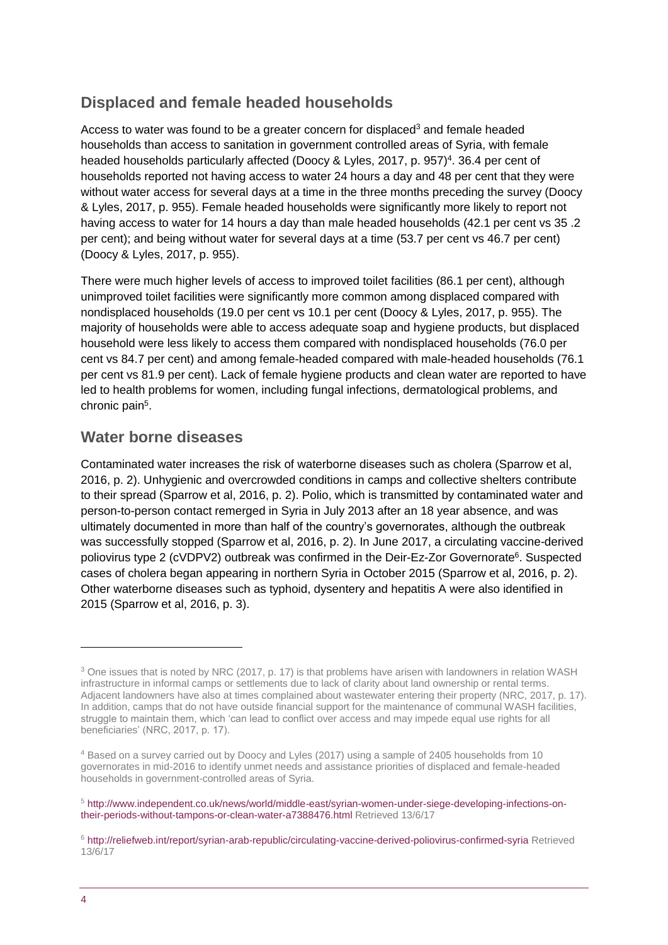# **Displaced and female headed households**

Access to water was found to be a greater concern for displaced<sup>3</sup> and female headed households than access to sanitation in government controlled areas of Syria, with female headed households particularly affected (Doocy & Lyles, 2017, p. 957)<sup>4</sup>. 36.4 per cent of households reported not having access to water 24 hours a day and 48 per cent that they were without water access for several days at a time in the three months preceding the survey (Doocy & Lyles, 2017, p. 955). Female headed households were significantly more likely to report not having access to water for 14 hours a day than male headed households (42.1 per cent vs 35 .2 per cent); and being without water for several days at a time (53.7 per cent vs 46.7 per cent) (Doocy & Lyles, 2017, p. 955).

There were much higher levels of access to improved toilet facilities (86.1 per cent), although unimproved toilet facilities were significantly more common among displaced compared with nondisplaced households (19.0 per cent vs 10.1 per cent (Doocy & Lyles, 2017, p. 955). The majority of households were able to access adequate soap and hygiene products, but displaced household were less likely to access them compared with nondisplaced households (76.0 per cent vs 84.7 per cent) and among female-headed compared with male-headed households (76.1 per cent vs 81.9 per cent). Lack of female hygiene products and clean water are reported to have led to health problems for women, including fungal infections, dermatological problems, and chronic pain<sup>5</sup>.

# **Water borne diseases**

Contaminated water increases the risk of waterborne diseases such as cholera (Sparrow et al, 2016, p. 2). Unhygienic and overcrowded conditions in camps and collective shelters contribute to their spread (Sparrow et al, 2016, p. 2). Polio, which is transmitted by contaminated water and person-to-person contact remerged in Syria in July 2013 after an 18 year absence, and was ultimately documented in more than half of the country's governorates, although the outbreak was successfully stopped (Sparrow et al, 2016, p. 2). In June 2017, a circulating vaccine-derived poliovirus type 2 (cVDPV2) outbreak was confirmed in the Deir-Ez-Zor Governorate<sup>6</sup>. Suspected cases of cholera began appearing in northern Syria in October 2015 (Sparrow et al, 2016, p. 2). Other waterborne diseases such as typhoid, dysentery and hepatitis A were also identified in 2015 (Sparrow et al, 2016, p. 3).

<sup>&</sup>lt;sup>3</sup> One issues that is noted by NRC (2017, p. 17) is that problems have arisen with landowners in relation WASH infrastructure in informal camps or settlements due to lack of clarity about land ownership or rental terms. Adjacent landowners have also at times complained about wastewater entering their property (NRC, 2017, p. 17). In addition, camps that do not have outside financial support for the maintenance of communal WASH facilities, struggle to maintain them, which 'can lead to conflict over access and may impede equal use rights for all beneficiaries' (NRC, 2017, p. 17).

<sup>4</sup> Based on a survey carried out by Doocy and Lyles (2017) using a sample of 2405 households from 10 governorates in mid-2016 to identify unmet needs and assistance priorities of displaced and female-headed households in government-controlled areas of Syria.

<sup>5</sup> [http://www.independent.co.uk/news/world/middle-east/syrian-women-under-siege-developing-infections-on](http://www.independent.co.uk/news/world/middle-east/syrian-women-under-siege-developing-infections-on-their-periods-without-tampons-or-clean-water-a7388476.html)[their-periods-without-tampons-or-clean-water-a7388476.html](http://www.independent.co.uk/news/world/middle-east/syrian-women-under-siege-developing-infections-on-their-periods-without-tampons-or-clean-water-a7388476.html) Retrieved 13/6/17

<sup>6</sup> <http://reliefweb.int/report/syrian-arab-republic/circulating-vaccine-derived-poliovirus-confirmed-syria> Retrieved 13/6/17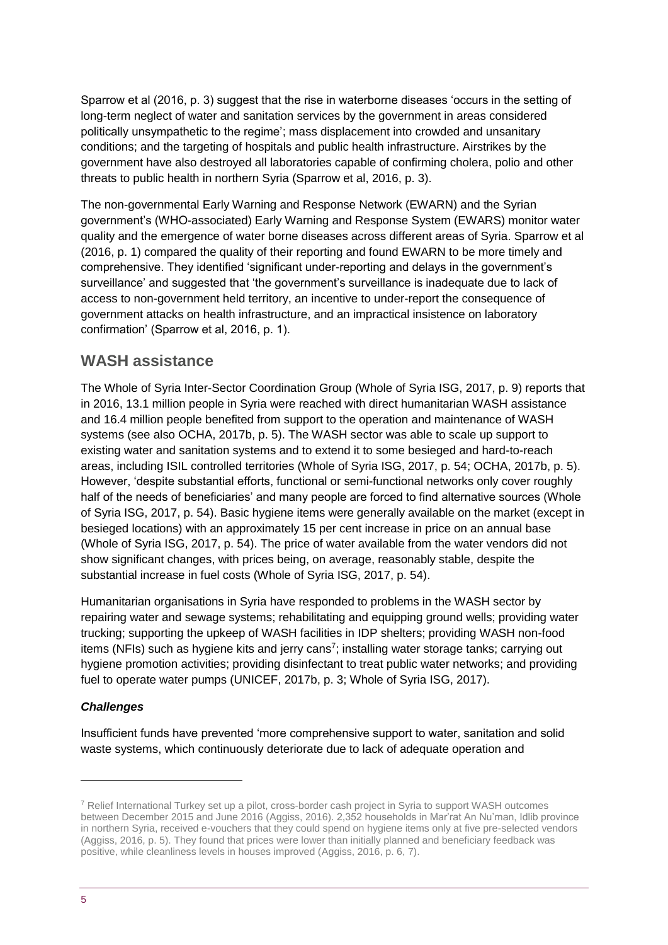Sparrow et al (2016, p. 3) suggest that the rise in waterborne diseases 'occurs in the setting of long-term neglect of water and sanitation services by the government in areas considered politically unsympathetic to the regime'; mass displacement into crowded and unsanitary conditions; and the targeting of hospitals and public health infrastructure. Airstrikes by the government have also destroyed all laboratories capable of confirming cholera, polio and other threats to public health in northern Syria (Sparrow et al, 2016, p. 3).

The non-governmental Early Warning and Response Network (EWARN) and the Syrian government's (WHO-associated) Early Warning and Response System (EWARS) monitor water quality and the emergence of water borne diseases across different areas of Syria. Sparrow et al (2016, p. 1) compared the quality of their reporting and found EWARN to be more timely and comprehensive. They identified 'significant under-reporting and delays in the government's surveillance' and suggested that 'the government's surveillance is inadequate due to lack of access to non-government held territory, an incentive to under-report the consequence of government attacks on health infrastructure, and an impractical insistence on laboratory confirmation' (Sparrow et al, 2016, p. 1).

### **WASH assistance**

The Whole of Syria Inter-Sector Coordination Group (Whole of Syria ISG, 2017, p. 9) reports that in 2016, 13.1 million people in Syria were reached with direct humanitarian WASH assistance and 16.4 million people benefited from support to the operation and maintenance of WASH systems (see also OCHA, 2017b, p. 5). The WASH sector was able to scale up support to existing water and sanitation systems and to extend it to some besieged and hard-to-reach areas, including ISIL controlled territories (Whole of Syria ISG, 2017, p. 54; OCHA, 2017b, p. 5). However, 'despite substantial efforts, functional or semi-functional networks only cover roughly half of the needs of beneficiaries' and many people are forced to find alternative sources (Whole of Syria ISG, 2017, p. 54). Basic hygiene items were generally available on the market (except in besieged locations) with an approximately 15 per cent increase in price on an annual base (Whole of Syria ISG, 2017, p. 54). The price of water available from the water vendors did not show significant changes, with prices being, on average, reasonably stable, despite the substantial increase in fuel costs (Whole of Syria ISG, 2017, p. 54).

Humanitarian organisations in Syria have responded to problems in the WASH sector by repairing water and sewage systems; rehabilitating and equipping ground wells; providing water trucking; supporting the upkeep of WASH facilities in IDP shelters; providing WASH non-food items (NFIs) such as hygiene kits and jerry cans<sup>7</sup>; installing water storage tanks; carrying out hygiene promotion activities; providing disinfectant to treat public water networks; and providing fuel to operate water pumps (UNICEF, 2017b, p. 3; Whole of Syria ISG, 2017).

#### *Challenges*

Insufficient funds have prevented 'more comprehensive support to water, sanitation and solid waste systems, which continuously deteriorate due to lack of adequate operation and

<sup>7</sup> Relief International Turkey set up a pilot, cross-border cash project in Syria to support WASH outcomes between December 2015 and June 2016 (Aggiss, 2016). 2,352 households in Mar'rat An Nu'man, Idlib province in northern Syria, received e-vouchers that they could spend on hygiene items only at five pre-selected vendors (Aggiss, 2016, p. 5). They found that prices were lower than initially planned and beneficiary feedback was positive, while cleanliness levels in houses improved (Aggiss, 2016, p. 6, 7).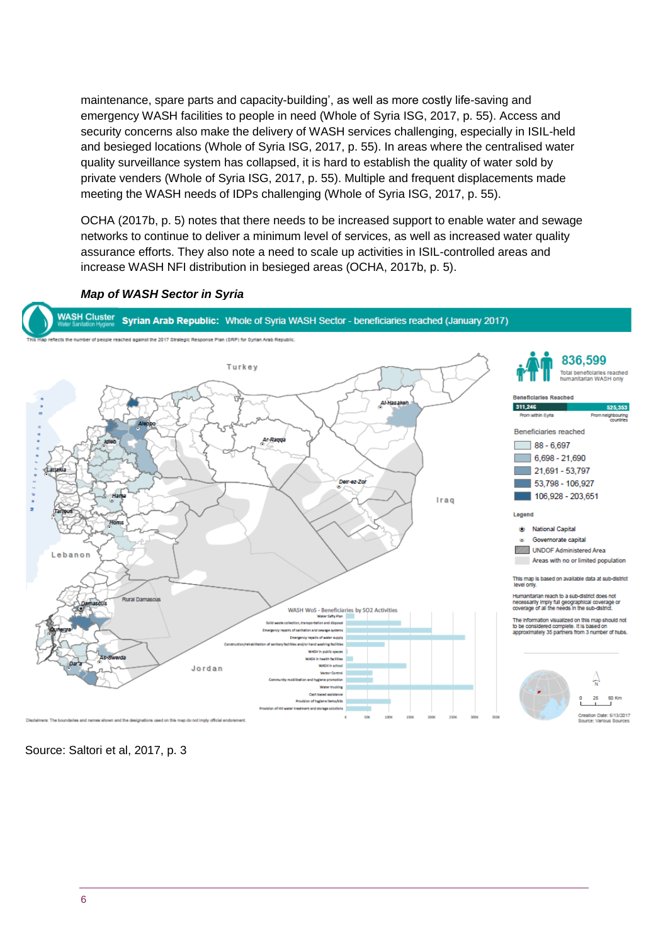maintenance, spare parts and capacity-building', as well as more costly life-saving and emergency WASH facilities to people in need (Whole of Syria ISG, 2017, p. 55). Access and security concerns also make the delivery of WASH services challenging, especially in ISIL-held and besieged locations (Whole of Syria ISG, 2017, p. 55). In areas where the centralised water quality surveillance system has collapsed, it is hard to establish the quality of water sold by private venders (Whole of Syria ISG, 2017, p. 55). Multiple and frequent displacements made meeting the WASH needs of IDPs challenging (Whole of Syria ISG, 2017, p. 55).

OCHA (2017b, p. 5) notes that there needs to be increased support to enable water and sewage networks to continue to deliver a minimum level of services, as well as increased water quality assurance efforts. They also note a need to scale up activities in ISIL-controlled areas and increase WASH NFI distribution in besieged areas (OCHA, 2017b, p. 5).

#### *Map of WASH Sector in Syria*



Source: Saltori et al, 2017, p. 3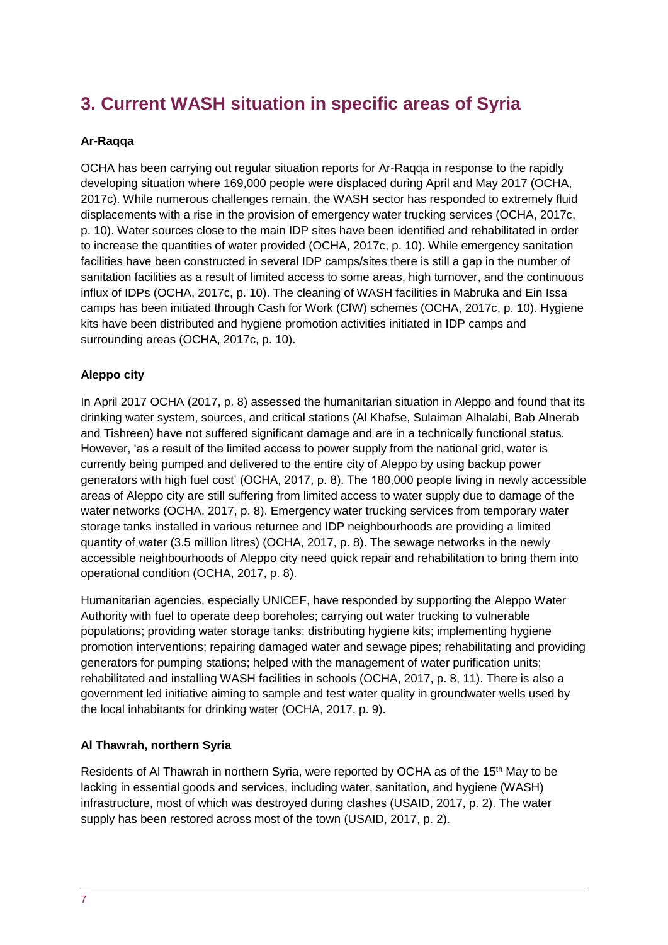# <span id="page-6-0"></span>**3. Current WASH situation in specific areas of Syria**

#### **Ar-Raqqa**

OCHA has been carrying out regular situation reports for Ar-Raqqa in response to the rapidly developing situation where 169,000 people were displaced during April and May 2017 (OCHA, 2017c). While numerous challenges remain, the WASH sector has responded to extremely fluid displacements with a rise in the provision of emergency water trucking services (OCHA, 2017c, p. 10). Water sources close to the main IDP sites have been identified and rehabilitated in order to increase the quantities of water provided (OCHA, 2017c, p. 10). While emergency sanitation facilities have been constructed in several IDP camps/sites there is still a gap in the number of sanitation facilities as a result of limited access to some areas, high turnover, and the continuous influx of IDPs (OCHA, 2017c, p. 10). The cleaning of WASH facilities in Mabruka and Ein Issa camps has been initiated through Cash for Work (CfW) schemes (OCHA, 2017c, p. 10). Hygiene kits have been distributed and hygiene promotion activities initiated in IDP camps and surrounding areas (OCHA, 2017c, p. 10).

#### **Aleppo city**

In April 2017 OCHA (2017, p. 8) assessed the humanitarian situation in Aleppo and found that its drinking water system, sources, and critical stations (Al Khafse, Sulaiman Alhalabi, Bab Alnerab and Tishreen) have not suffered significant damage and are in a technically functional status. However, 'as a result of the limited access to power supply from the national grid, water is currently being pumped and delivered to the entire city of Aleppo by using backup power generators with high fuel cost' (OCHA, 2017, p. 8). The 180,000 people living in newly accessible areas of Aleppo city are still suffering from limited access to water supply due to damage of the water networks (OCHA, 2017, p. 8). Emergency water trucking services from temporary water storage tanks installed in various returnee and IDP neighbourhoods are providing a limited quantity of water (3.5 million litres) (OCHA, 2017, p. 8). The sewage networks in the newly accessible neighbourhoods of Aleppo city need quick repair and rehabilitation to bring them into operational condition (OCHA, 2017, p. 8).

Humanitarian agencies, especially UNICEF, have responded by supporting the Aleppo Water Authority with fuel to operate deep boreholes; carrying out water trucking to vulnerable populations; providing water storage tanks; distributing hygiene kits; implementing hygiene promotion interventions; repairing damaged water and sewage pipes; rehabilitating and providing generators for pumping stations; helped with the management of water purification units; rehabilitated and installing WASH facilities in schools (OCHA, 2017, p. 8, 11). There is also a government led initiative aiming to sample and test water quality in groundwater wells used by the local inhabitants for drinking water (OCHA, 2017, p. 9).

#### **Al Thawrah, northern Syria**

Residents of Al Thawrah in northern Syria, were reported by OCHA as of the 15<sup>th</sup> May to be lacking in essential goods and services, including water, sanitation, and hygiene (WASH) infrastructure, most of which was destroyed during clashes (USAID, 2017, p. 2). The water supply has been restored across most of the town (USAID, 2017, p. 2).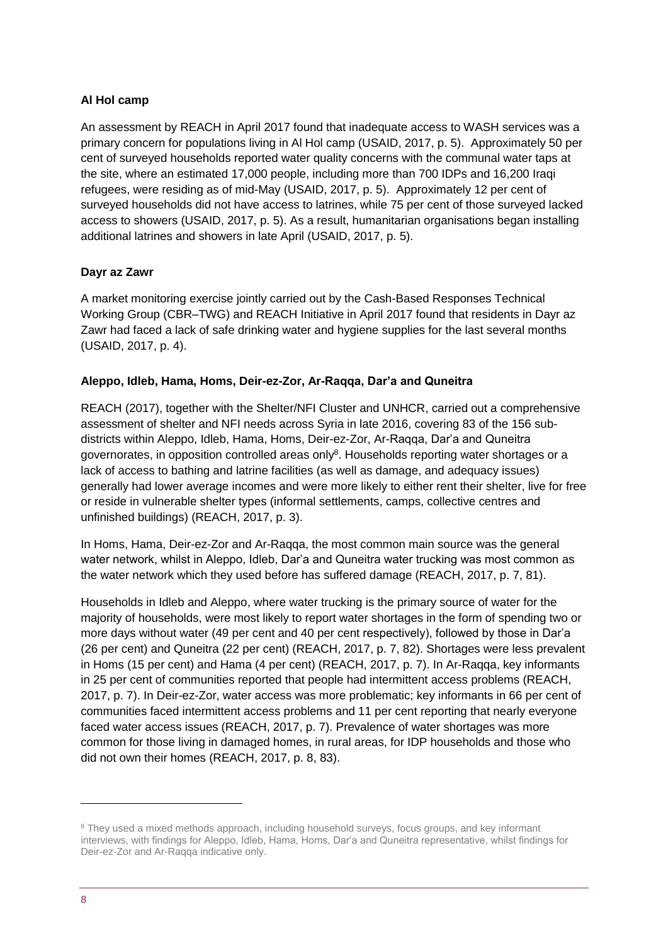#### **Al Hol camp**

An assessment by REACH in April 2017 found that inadequate access to WASH services was a primary concern for populations living in Al Hol camp (USAID, 2017, p. 5). Approximately 50 per cent of surveyed households reported water quality concerns with the communal water taps at the site, where an estimated 17,000 people, including more than 700 IDPs and 16,200 Iraqi refugees, were residing as of mid-May (USAID, 2017, p. 5). Approximately 12 per cent of surveyed households did not have access to latrines, while 75 per cent of those surveyed lacked access to showers (USAID, 2017, p. 5). As a result, humanitarian organisations began installing additional latrines and showers in late April (USAID, 2017, p. 5).

#### **Dayr az Zawr**

A market monitoring exercise jointly carried out by the Cash-Based Responses Technical Working Group (CBR–TWG) and REACH Initiative in April 2017 found that residents in Dayr az Zawr had faced a lack of safe drinking water and hygiene supplies for the last several months (USAID, 2017, p. 4).

#### **Aleppo, Idleb, Hama, Homs, Deir-ez-Zor, Ar-Raqqa, Dar'a and Quneitra**

REACH (2017), together with the Shelter/NFI Cluster and UNHCR, carried out a comprehensive assessment of shelter and NFI needs across Syria in late 2016, covering 83 of the 156 subdistricts within Aleppo, Idleb, Hama, Homs, Deir-ez-Zor, Ar-Raqqa, Dar'a and Quneitra governorates, in opposition controlled areas only<sup>8</sup>. Households reporting water shortages or a lack of access to bathing and latrine facilities (as well as damage, and adequacy issues) generally had lower average incomes and were more likely to either rent their shelter, live for free or reside in vulnerable shelter types (informal settlements, camps, collective centres and unfinished buildings) (REACH, 2017, p. 3).

In Homs, Hama, Deir-ez-Zor and Ar-Raqqa, the most common main source was the general water network, whilst in Aleppo, Idleb, Dar'a and Quneitra water trucking was most common as the water network which they used before has suffered damage (REACH, 2017, p. 7, 81).

Households in Idleb and Aleppo, where water trucking is the primary source of water for the majority of households, were most likely to report water shortages in the form of spending two or more days without water (49 per cent and 40 per cent respectively), followed by those in Dar'a (26 per cent) and Quneitra (22 per cent) (REACH, 2017, p. 7, 82). Shortages were less prevalent in Homs (15 per cent) and Hama (4 per cent) (REACH, 2017, p. 7). In Ar-Raqqa, key informants in 25 per cent of communities reported that people had intermittent access problems (REACH, 2017, p. 7). In Deir-ez-Zor, water access was more problematic; key informants in 66 per cent of communities faced intermittent access problems and 11 per cent reporting that nearly everyone faced water access issues (REACH, 2017, p. 7). Prevalence of water shortages was more common for those living in damaged homes, in rural areas, for IDP households and those who did not own their homes (REACH, 2017, p. 8, 83).

<sup>&</sup>lt;sup>8</sup> They used a mixed methods approach, including household surveys, focus groups, and key informant interviews, with findings for Aleppo, Idleb, Hama, Homs, Dar'a and Quneitra representative, whilst findings for Deir-ez-Zor and Ar-Raqqa indicative only.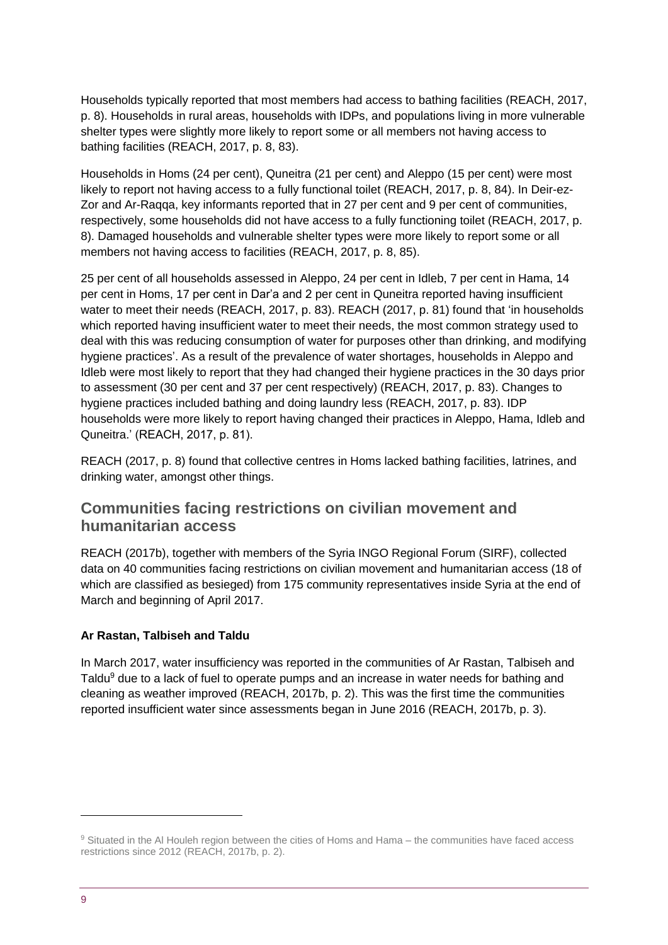Households typically reported that most members had access to bathing facilities (REACH, 2017, p. 8). Households in rural areas, households with IDPs, and populations living in more vulnerable shelter types were slightly more likely to report some or all members not having access to bathing facilities (REACH, 2017, p. 8, 83).

Households in Homs (24 per cent), Quneitra (21 per cent) and Aleppo (15 per cent) were most likely to report not having access to a fully functional toilet (REACH, 2017, p. 8, 84). In Deir-ez-Zor and Ar-Raqqa, key informants reported that in 27 per cent and 9 per cent of communities, respectively, some households did not have access to a fully functioning toilet (REACH, 2017, p. 8). Damaged households and vulnerable shelter types were more likely to report some or all members not having access to facilities (REACH, 2017, p. 8, 85).

25 per cent of all households assessed in Aleppo, 24 per cent in Idleb, 7 per cent in Hama, 14 per cent in Homs, 17 per cent in Dar'a and 2 per cent in Quneitra reported having insufficient water to meet their needs (REACH, 2017, p. 83). REACH (2017, p. 81) found that 'in households which reported having insufficient water to meet their needs, the most common strategy used to deal with this was reducing consumption of water for purposes other than drinking, and modifying hygiene practices'. As a result of the prevalence of water shortages, households in Aleppo and Idleb were most likely to report that they had changed their hygiene practices in the 30 days prior to assessment (30 per cent and 37 per cent respectively) (REACH, 2017, p. 83). Changes to hygiene practices included bathing and doing laundry less (REACH, 2017, p. 83). IDP households were more likely to report having changed their practices in Aleppo, Hama, Idleb and Quneitra.' (REACH, 2017, p. 81).

REACH (2017, p. 8) found that collective centres in Homs lacked bathing facilities, latrines, and drinking water, amongst other things.

# **Communities facing restrictions on civilian movement and humanitarian access**

REACH (2017b), together with members of the Syria INGO Regional Forum (SIRF), collected data on 40 communities facing restrictions on civilian movement and humanitarian access (18 of which are classified as besieged) from 175 community representatives inside Syria at the end of March and beginning of April 2017.

#### **Ar Rastan, Talbiseh and Taldu**

In March 2017, water insufficiency was reported in the communities of Ar Rastan, Talbiseh and Taldu<sup>9</sup> due to a lack of fuel to operate pumps and an increase in water needs for bathing and cleaning as weather improved (REACH, 2017b, p. 2). This was the first time the communities reported insufficient water since assessments began in June 2016 (REACH, 2017b, p. 3).

-

<sup>9</sup> Situated in the Al Houleh region between the cities of Homs and Hama – the communities have faced access restrictions since 2012 (REACH, 2017b, p. 2).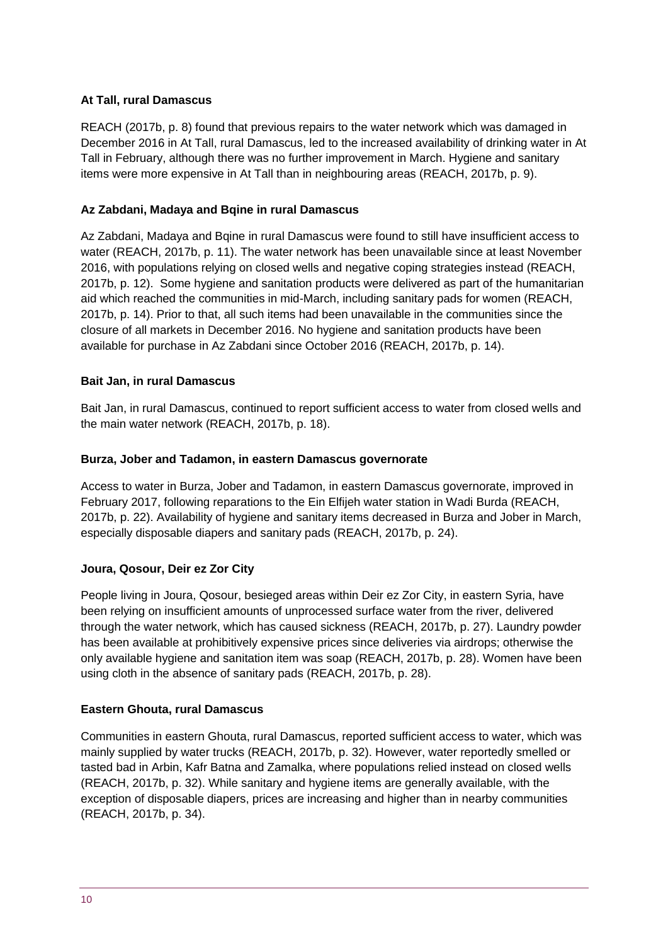#### **At Tall, rural Damascus**

REACH (2017b, p. 8) found that previous repairs to the water network which was damaged in December 2016 in At Tall, rural Damascus, led to the increased availability of drinking water in At Tall in February, although there was no further improvement in March. Hygiene and sanitary items were more expensive in At Tall than in neighbouring areas (REACH, 2017b, p. 9).

#### **Az Zabdani, Madaya and Bqine in rural Damascus**

Az Zabdani, Madaya and Bqine in rural Damascus were found to still have insufficient access to water (REACH, 2017b, p. 11). The water network has been unavailable since at least November 2016, with populations relying on closed wells and negative coping strategies instead (REACH, 2017b, p. 12). Some hygiene and sanitation products were delivered as part of the humanitarian aid which reached the communities in mid-March, including sanitary pads for women (REACH, 2017b, p. 14). Prior to that, all such items had been unavailable in the communities since the closure of all markets in December 2016. No hygiene and sanitation products have been available for purchase in Az Zabdani since October 2016 (REACH, 2017b, p. 14).

#### **Bait Jan, in rural Damascus**

Bait Jan, in rural Damascus, continued to report sufficient access to water from closed wells and the main water network (REACH, 2017b, p. 18).

#### **Burza, Jober and Tadamon, in eastern Damascus governorate**

Access to water in Burza, Jober and Tadamon, in eastern Damascus governorate, improved in February 2017, following reparations to the Ein Elfijeh water station in Wadi Burda (REACH, 2017b, p. 22). Availability of hygiene and sanitary items decreased in Burza and Jober in March, especially disposable diapers and sanitary pads (REACH, 2017b, p. 24).

#### **Joura, Qosour, Deir ez Zor City**

People living in Joura, Qosour, besieged areas within Deir ez Zor City, in eastern Syria, have been relying on insufficient amounts of unprocessed surface water from the river, delivered through the water network, which has caused sickness (REACH, 2017b, p. 27). Laundry powder has been available at prohibitively expensive prices since deliveries via airdrops; otherwise the only available hygiene and sanitation item was soap (REACH, 2017b, p. 28). Women have been using cloth in the absence of sanitary pads (REACH, 2017b, p. 28).

#### **Eastern Ghouta, rural Damascus**

Communities in eastern Ghouta, rural Damascus, reported sufficient access to water, which was mainly supplied by water trucks (REACH, 2017b, p. 32). However, water reportedly smelled or tasted bad in Arbin, Kafr Batna and Zamalka, where populations relied instead on closed wells (REACH, 2017b, p. 32). While sanitary and hygiene items are generally available, with the exception of disposable diapers, prices are increasing and higher than in nearby communities (REACH, 2017b, p. 34).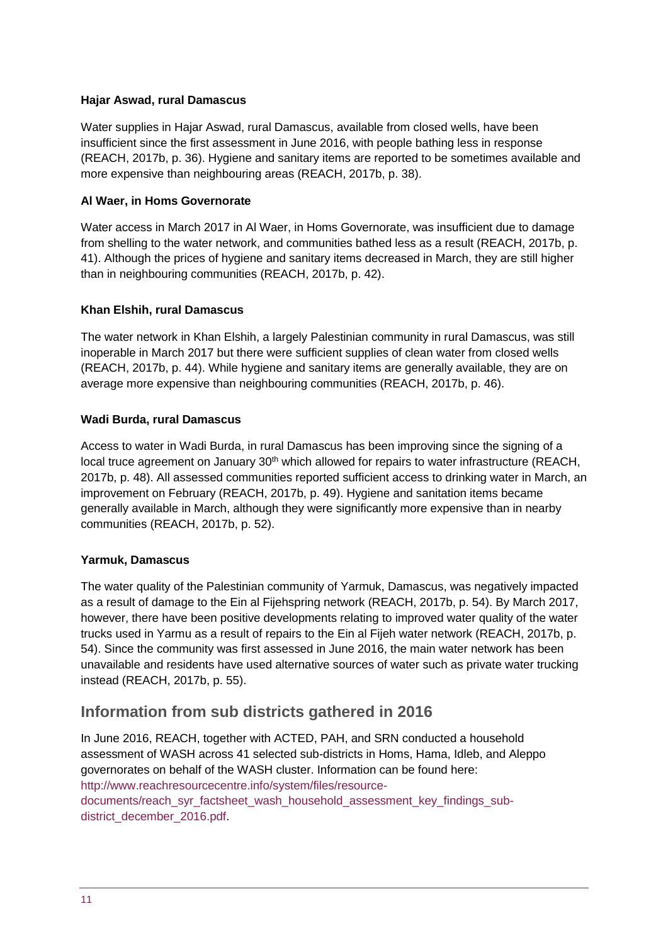#### **Hajar Aswad, rural Damascus**

Water supplies in Hajar Aswad, rural Damascus, available from closed wells, have been insufficient since the first assessment in June 2016, with people bathing less in response (REACH, 2017b, p. 36). Hygiene and sanitary items are reported to be sometimes available and more expensive than neighbouring areas (REACH, 2017b, p. 38).

#### **Al Waer, in Homs Governorate**

Water access in March 2017 in Al Waer, in Homs Governorate, was insufficient due to damage from shelling to the water network, and communities bathed less as a result (REACH, 2017b, p. 41). Although the prices of hygiene and sanitary items decreased in March, they are still higher than in neighbouring communities (REACH, 2017b, p. 42).

#### **Khan Elshih, rural Damascus**

The water network in Khan Elshih, a largely Palestinian community in rural Damascus, was still inoperable in March 2017 but there were sufficient supplies of clean water from closed wells (REACH, 2017b, p. 44). While hygiene and sanitary items are generally available, they are on average more expensive than neighbouring communities (REACH, 2017b, p. 46).

#### **Wadi Burda, rural Damascus**

Access to water in Wadi Burda, in rural Damascus has been improving since the signing of a local truce agreement on January 30<sup>th</sup> which allowed for repairs to water infrastructure (REACH, 2017b, p. 48). All assessed communities reported sufficient access to drinking water in March, an improvement on February (REACH, 2017b, p. 49). Hygiene and sanitation items became generally available in March, although they were significantly more expensive than in nearby communities (REACH, 2017b, p. 52).

#### **Yarmuk, Damascus**

The water quality of the Palestinian community of Yarmuk, Damascus, was negatively impacted as a result of damage to the Ein al Fijehspring network (REACH, 2017b, p. 54). By March 2017, however, there have been positive developments relating to improved water quality of the water trucks used in Yarmu as a result of repairs to the Ein al Fijeh water network (REACH, 2017b, p. 54). Since the community was first assessed in June 2016, the main water network has been unavailable and residents have used alternative sources of water such as private water trucking instead (REACH, 2017b, p. 55).

# **Information from sub districts gathered in 2016**

In June 2016, REACH, together with ACTED, PAH, and SRN conducted a household assessment of WASH across 41 selected sub-districts in Homs, Hama, Idleb, and Aleppo governorates on behalf of the WASH cluster. Information can be found here: [http://www.reachresourcecentre.info/system/files/resource](http://www.reachresourcecentre.info/system/files/resource-documents/reach_syr_factsheet_wash_household_assessment_key_findings_sub-district_december_2016.pdf)[documents/reach\\_syr\\_factsheet\\_wash\\_household\\_assessment\\_key\\_findings\\_sub](http://www.reachresourcecentre.info/system/files/resource-documents/reach_syr_factsheet_wash_household_assessment_key_findings_sub-district_december_2016.pdf)[district\\_december\\_2016.pdf.](http://www.reachresourcecentre.info/system/files/resource-documents/reach_syr_factsheet_wash_household_assessment_key_findings_sub-district_december_2016.pdf)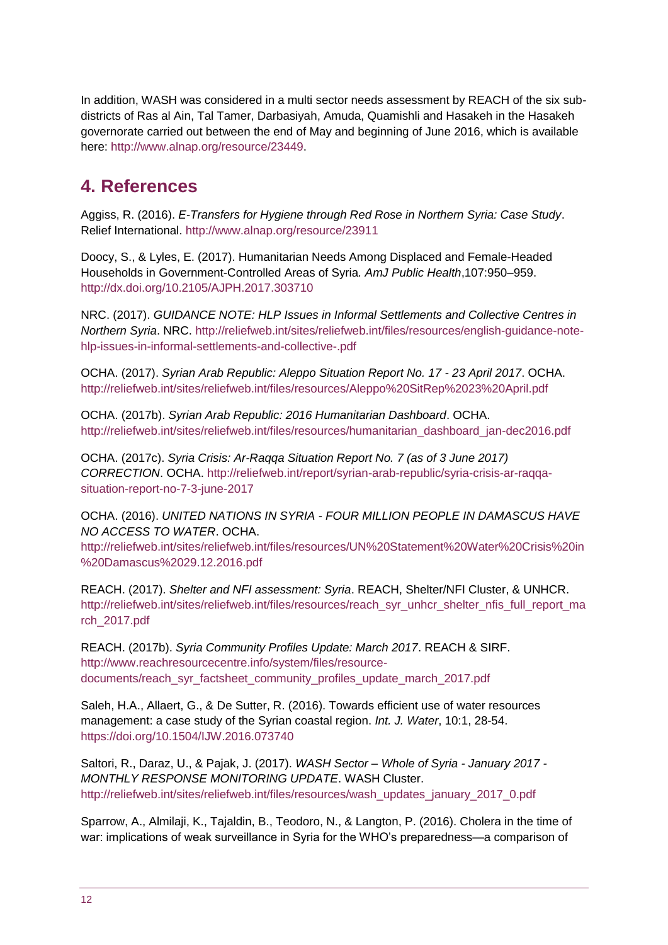In addition, WASH was considered in a multi sector needs assessment by REACH of the six subdistricts of Ras al Ain, Tal Tamer, Darbasiyah, Amuda, Quamishli and Hasakeh in the Hasakeh governorate carried out between the end of May and beginning of June 2016, which is available here: [http://www.alnap.org/resource/23449.](http://www.alnap.org/resource/23449)

# <span id="page-11-0"></span>**4. References**

Aggiss, R. (2016). *E-Transfers for Hygiene through Red Rose in Northern Syria: Case Study*. Relief International. <http://www.alnap.org/resource/23911>

Doocy, S., & Lyles, E. (2017). Humanitarian Needs Among Displaced and Female-Headed Households in Government-Controlled Areas of Syria*. AmJ Public Health*,107:950–959. <http://dx.doi.org/10.2105/AJPH.2017.303710>

NRC. (2017). *GUIDANCE NOTE: HLP Issues in Informal Settlements and Collective Centres in Northern Syria*. NRC. [http://reliefweb.int/sites/reliefweb.int/files/resources/english-guidance-note](http://reliefweb.int/sites/reliefweb.int/files/resources/english-guidance-note-hlp-issues-in-informal-settlements-and-collective-.pdf)[hlp-issues-in-informal-settlements-and-collective-.pdf](http://reliefweb.int/sites/reliefweb.int/files/resources/english-guidance-note-hlp-issues-in-informal-settlements-and-collective-.pdf)

OCHA. (2017). *Syrian Arab Republic: Aleppo Situation Report No. 17 - 23 April 2017*. OCHA. <http://reliefweb.int/sites/reliefweb.int/files/resources/Aleppo%20SitRep%2023%20April.pdf>

OCHA. (2017b). *Syrian Arab Republic: 2016 Humanitarian Dashboard*. OCHA. [http://reliefweb.int/sites/reliefweb.int/files/resources/humanitarian\\_dashboard\\_jan-dec2016.pdf](http://reliefweb.int/sites/reliefweb.int/files/resources/humanitarian_dashboard_jan-dec2016.pdf)

OCHA. (2017c). *Syria Crisis: Ar-Raqqa Situation Report No. 7 (as of 3 June 2017) CORRECTION*. OCHA. [http://reliefweb.int/report/syrian-arab-republic/syria-crisis-ar-raqqa](http://reliefweb.int/report/syrian-arab-republic/syria-crisis-ar-raqqa-situation-report-no-7-3-june-2017)[situation-report-no-7-3-june-2017](http://reliefweb.int/report/syrian-arab-republic/syria-crisis-ar-raqqa-situation-report-no-7-3-june-2017)

OCHA. (2016). *UNITED NATIONS IN SYRIA - FOUR MILLION PEOPLE IN DAMASCUS HAVE NO ACCESS TO WATER*. OCHA.

[http://reliefweb.int/sites/reliefweb.int/files/resources/UN%20Statement%20Water%20Crisis%20in](http://reliefweb.int/sites/reliefweb.int/files/resources/UN%20Statement%20Water%20Crisis%20in%20Damascus%2029.12.2016.pdf) [%20Damascus%2029.12.2016.pdf](http://reliefweb.int/sites/reliefweb.int/files/resources/UN%20Statement%20Water%20Crisis%20in%20Damascus%2029.12.2016.pdf)

REACH. (2017). *Shelter and NFI assessment: Syria*. REACH, Shelter/NFI Cluster, & UNHCR. [http://reliefweb.int/sites/reliefweb.int/files/resources/reach\\_syr\\_unhcr\\_shelter\\_nfis\\_full\\_report\\_ma](http://reliefweb.int/sites/reliefweb.int/files/resources/reach_syr_unhcr_shelter_nfis_full_report_march_2017.pdf) [rch\\_2017.pdf](http://reliefweb.int/sites/reliefweb.int/files/resources/reach_syr_unhcr_shelter_nfis_full_report_march_2017.pdf)

REACH. (2017b). *Syria Community Profiles Update: March 2017*. REACH & SIRF. [http://www.reachresourcecentre.info/system/files/resource](http://www.reachresourcecentre.info/system/files/resource-documents/reach_syr_factsheet_community_profiles_update_march_2017.pdf)[documents/reach\\_syr\\_factsheet\\_community\\_profiles\\_update\\_march\\_2017.pdf](http://www.reachresourcecentre.info/system/files/resource-documents/reach_syr_factsheet_community_profiles_update_march_2017.pdf)

Saleh, H.A., Allaert, G., & De Sutter, R. (2016). Towards efficient use of water resources management: a case study of the Syrian coastal region. *Int. J. Water*, 10:1, 28-54. <https://doi.org/10.1504/IJW.2016.073740>

Saltori, R., Daraz, U., & Pajak, J. (2017). *WASH Sector – Whole of Syria - January 2017 - MONTHLY RESPONSE MONITORING UPDATE*. WASH Cluster. [http://reliefweb.int/sites/reliefweb.int/files/resources/wash\\_updates\\_january\\_2017\\_0.pdf](http://reliefweb.int/sites/reliefweb.int/files/resources/wash_updates_january_2017_0.pdf)

Sparrow, A., Almilaji, K., Tajaldin, B., Teodoro, N., & Langton, P. (2016). Cholera in the time of war: implications of weak surveillance in Syria for the WHO's preparedness—a comparison of